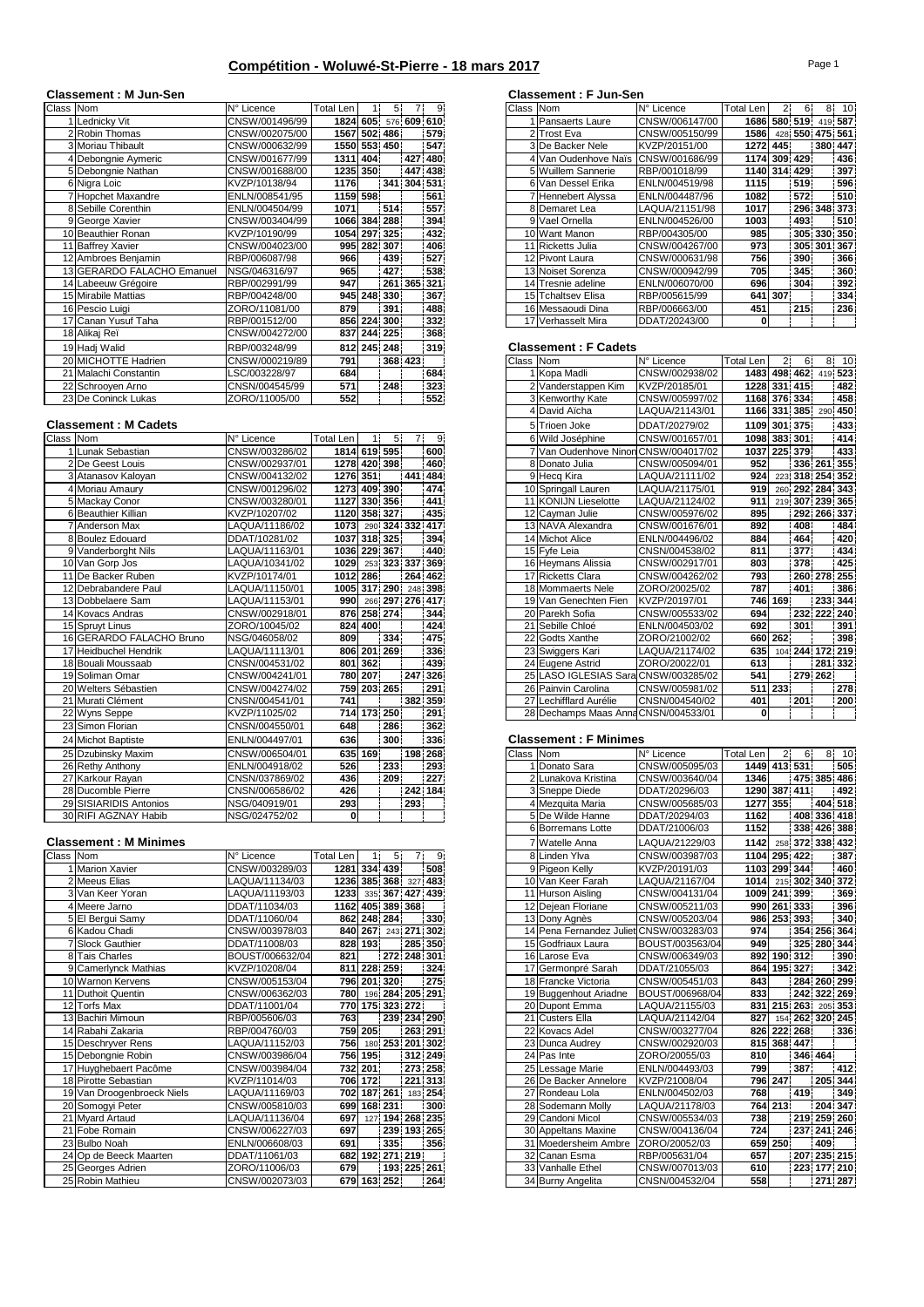# **Compétition - Woluwé-St-Pierre - 18 mars 2017**

## **Classement : M Jun-Sen Classement : F Jun-Sen**

| Class Nom |                            | N° Licence     | <b>Total Len</b> |              | 5.          | 7.          | 9.      | Class Nom |                             | N° Licence     | Total Len            |             | 6.              |             | $8-10$  |
|-----------|----------------------------|----------------|------------------|--------------|-------------|-------------|---------|-----------|-----------------------------|----------------|----------------------|-------------|-----------------|-------------|---------|
|           | Lednicky Vit               | CNSW/001496/99 |                  | 1824 605     |             | 576 609 610 |         |           | <b>Pansaerts Laure</b>      | CNSW/006147/00 | 1686 580 519 419 587 |             |                 |             |         |
|           | 2 Robin Thomas             | CNSW/002075/00 |                  | 1567 502 486 |             |             | 579     |           | 2 Trost Eva                 | CNSW/005150/99 | 1586                 |             | 428 550 475 561 |             |         |
|           | 3 Moriau Thibault          | CNSW/000632/99 |                  | 1550 553 450 |             |             | 547     |           | 3 De Backer Nele            | KVZP/20151/00  | 1272 445             |             |                 | 380 447     |         |
|           | 4 Debongnie Aymeric        | CNSW/001677/99 |                  | 1311 404     |             |             | 427 480 |           | 4 Van Oudenhove Naïs        | CNSW/001686/99 | 1174 309 429         |             |                 |             | 436     |
|           | 5 Debongnie Nathan         | CNSW/001688/00 | 1235             | 350          |             |             | 447 438 |           | 5 Wuillem Sannerie          | RBP/001018/99  | 1140 314 429         |             |                 |             | 397     |
|           | 6 Nigra Loic               | KVZP/10138/94  | 1176             |              | 341 304 531 |             |         |           | 6 Van Dessel Erika          | ENLN/004519/98 | 1115                 |             | 519             |             | 596     |
|           | 7 Hopchet Maxandre         | ENLN/008541/95 |                  | 1159 598     |             |             | 561     |           | Hennebert Alyssa            | ENLN/004487/96 | 1082                 |             | 572             |             | 510     |
|           | 8 Sebille Corenthin        | ENLN/004504/99 | 1071             |              | 514         |             | 557     |           | 8 Demaret Lea               | LAQUA/21151/98 | 1017                 |             |                 | 296 348 373 |         |
|           | 9 George Xavier            | CNSW/003404/99 |                  | 1066 384 288 |             |             | 394     |           | 9 Vael Ornella              | ENLN/004526/00 | 1003                 |             | 493             |             | 510     |
|           | 10 Beauthier Ronan         | KVZP/10190/99  | 1054             |              | 297 325     |             | 432     |           | 10 Want Manon               | RBP/004305/00  | 985                  |             |                 | 305 330 350 |         |
|           | 11 Baffrey Xavier          | CNSW/004023/00 | 995              |              | 282 307     |             | 406     |           | 11 Ricketts Julia           | CNSW/004267/00 | 973                  |             |                 | 305 301 367 |         |
|           | 12 Ambroes Beniamin        | RBP/006087/98  | 966              |              | 439         |             | 527     |           | 12 Pivont Laura             | CNSW/000631/98 | 756                  |             | 390             |             | 366     |
|           | 13 GERARDO FALACHO Emanuel | NSG/046316/97  | 965              |              | 427         |             | 538     |           | 13 Noiset Sorenza           | CNSW/000942/99 | 705                  |             | 345             |             | 360     |
|           | 14 Labeeuw Grégoire        | RBP/002991/99  | 947              |              |             | 261 365 321 |         |           | 14 Tresnie adeline          | ENLN/006070/00 | 696                  |             | 304             |             | 392     |
|           | 15 Mirabile Mattias        | RBP/004248/00  | 945              |              | 248 330     |             | 367     |           | 15 Tchaltsey Elisa          | RBP/005615/99  | 641                  | 307         |                 |             | 334     |
|           | 16 Pescio Luigi            | ZORO/11081/00  | 879              |              | 391         |             | 488     |           | 16 Messaoudi Dina           | RBP/006663/00  | 451                  |             | 215             |             | 236     |
|           | 17 Canan Yusuf Taha        | RBP/001512/00  |                  | 856 224 300  |             |             | 332     |           | 17 Verhasselt Mira          | DDAT/20243/00  | 0                    |             |                 |             |         |
|           | 18 Alikaj Reï              | CNSW/004272/00 |                  | 837 244 225  |             |             | 368     |           |                             |                |                      |             |                 |             |         |
|           | 19 Hadi Walid              | RBP/003248/99  |                  | 812 245 248  |             |             | 319     |           | <b>Classement: F Cadets</b> |                |                      |             |                 |             |         |
|           | 20 MICHOTTE Hadrien        | CNSW/000219/89 | 791              |              |             | 368 423     |         | Class Nom |                             | N° Licence     | Total Len            | $2^{\circ}$ | 6.              |             | $8'$ 10 |
|           | 21 Malachi Constantin      | LSC/003228/97  | 684              |              |             |             | 684     |           | 1 Kopa Madli                | CNSW/002938/02 | 1483 498 462 419 523 |             |                 |             |         |
|           | 22 Schrooyen Arno          | CNSN/004545/99 | 571              |              | 248         |             | 323     |           | 2 Vanderstappen Kim         | KVZP/20185/01  |                      |             | 1228 331 415    |             | 482     |
|           | 23 De Coninck Lukas        | ZORO/11005/00  | 552              |              |             |             | 552     |           | 3 Kenworthy Kate            | CNSW/005997/02 | 1168 376 334         |             |                 |             | 458     |

# **Classement : M Cadets**

| Class Nom |                          | N° Licence     | Total Len    | 11          | -51             | 7.      | 9       |           | 6 Wild Joséphine                     | CNSW/001657/01 | 1098 383 301     |                |     |                 | 414               |
|-----------|--------------------------|----------------|--------------|-------------|-----------------|---------|---------|-----------|--------------------------------------|----------------|------------------|----------------|-----|-----------------|-------------------|
|           | Lunak Sebastian          | CNSW/003286/02 | 1814 619 595 |             |                 |         | 600     |           | 7 Van Oudenhove Ninon CNSW/004017/02 |                | 1037 225 379     |                |     |                 | 433               |
|           | 2 De Geest Louis         | CNSW/002937/01 | 1278 420 398 |             |                 |         | 460     |           | 8 Donato Julia                       | CNSW/005094/01 | 952              |                |     | 336 261 355     |                   |
|           | 3 Atanasov Kaloyan       | CNSW/004132/02 | 1276 351     |             |                 | 441 484 |         |           | 9 Hecg Kira                          | LAQUA/21111/02 | 924              |                |     | 223 318 254 352 |                   |
|           | 4 Moriau Amaury          | CNSW/001296/02 | 1273 409 390 |             |                 |         | 474     |           | 10 Springall Lauren                  | LAQUA/21175/01 | 919              |                |     | 260 292 284 343 |                   |
|           | 5 Mackay Conor           | CNSW/003280/01 | 1127         |             | 330 356         |         | 441     |           | 11 KONIJN Lieselotte                 | LAQUA/21124/02 | 911              |                |     | 219 307 239 365 |                   |
|           | 6 Beauthier Killian      | KVZP/10207/02  | 1120         |             | 358 327         |         | 435     |           | 12 Cayman Julie                      | CNSW/005976/02 | 895              |                |     | 292 266 337     |                   |
|           | <b>7 Anderson Max</b>    | LAQUA/11186/02 | 1073         |             | 290 324 332 417 |         |         |           | 13 NAVA Alexandra                    | CNSW/001676/01 | 892              |                | 408 |                 | 484               |
|           | 8 Boulez Edouard         | DDAT/10281/02  | 1037         |             | 318 325         |         | 394     |           | 14 Michot Alice                      | ENLN/004496/02 | 884              |                | 464 |                 | 420               |
|           | 9 Vanderborght Nils      | LAQUA/11163/01 | 1036 229 367 |             |                 |         | 440     |           | 15 Fvfe Leia                         | CNSN/004538/02 | 811              |                | 377 |                 | 434               |
|           | 10 Van Gorp Jos          | LAQUA/10341/02 | 1029         |             | 253 323 337 369 |         |         |           | 16 Heymans Alissia                   | CNSW/002917/01 | 803              |                | 378 |                 | 425               |
|           | 11 De Backer Ruben       | KVZP/10174/01  | 1012         | 286         |                 | 264 462 |         |           | 17 Ricketts Clara                    | CNSW/004262/02 | 793              |                |     | 260 278 255     |                   |
|           | 12 Debrabandere Paul     | LAQUA/11150/01 | 1005 317 290 |             |                 |         | 248 398 |           | 18 Mommaerts Nele                    | ZORO/20025/02  | 787              |                | 401 |                 | 386               |
|           | 13 Dobbelaere Sam        | LAQUA/11153/01 | 990          |             | 266 297 276 417 |         |         |           | 19 Van Genechten Fien                | KVZP/20197/01  |                  | 746 169        |     | 233 344         |                   |
|           | 14 Kovacs Andras         | CNSW/002918/01 |              | 876 258 274 |                 |         | 344     |           | 20 Parekh Sofia                      | CNSW/005533/02 | 694              |                |     | 232 222 240     |                   |
|           | 15 Spruvt Linus          | ZORO/10045/02  |              | 824 400     |                 |         | 424     |           | 21 Sebille Chloé                     | ENLN/004503/02 | 692              |                | 301 |                 | 391               |
|           | 16 GERARDO FALACHO Bruno | NSG/046058/02  | 809          |             | 334             |         | 475     |           | 22 Godts Xanthe                      | ZORO/21002/02  |                  | 660 262        |     |                 | 398               |
|           | 17 Heidbuchel Hendrik    | LAQUA/11113/01 | 806          |             | 201 269         |         | 336     |           | 23 Swiggers Kari                     | LAQUA/21174/02 | 635              |                |     | 104 244 172 219 |                   |
|           | 18 Bouali Moussaab       | CNSN/004531/02 | 801          | 362         |                 |         | 439     |           | 24 Eugene Astrid                     | ZORO/20022/01  | 613              |                |     |                 | 281 332           |
|           | 19 Soliman Omar          | CNSW/004241/01 | 780          | 207         |                 | 247 326 |         |           | 25 LASO IGLESIAS Sara CNSW/003285/02 |                | 541              |                |     | 279 262         |                   |
|           | 20 Welters Sébastien     | CNSW/004274/02 | 759          |             | $203$ 265       |         | 291     |           | 26 Painvin Carolina                  | CNSW/005981/02 |                  | 511 233        |     |                 | 278               |
|           | 21 Murati Clément        | CNSN/004541/01 | 741          |             |                 | 382 359 |         |           | 27 Lechifflard Aurélie               | CNSN/004540/02 | 401              |                | 201 |                 | 200               |
|           | 22 Wyns Seppe            | KVZP/11025/02  | 714          |             | 173 250         |         | 291     |           | 28 Dechamps Maas Anna CNSN/004533/01 |                | 0                |                |     |                 |                   |
|           | 23 Simon Florian         | CNSN/004550/01 | 648          |             | 286             |         | 362     |           |                                      |                |                  |                |     |                 |                   |
|           | 24 Michot Baptiste       | ENLN/004497/01 | 636          |             | 300             |         | 336     |           | <b>Classement: F Minimes</b>         |                |                  |                |     |                 |                   |
|           | 25 Dzubinsky Maxim       | CNSW/006504/01 |              | 635 169     |                 | 198 268 |         | Class Nom |                                      | N° Licence     | <b>Total Len</b> | 2 <sup>1</sup> | 6   |                 | $\overline{8}$ 10 |
|           | 26 Rethy Anthony         | ENLN/004918/02 | 526          |             | 233             |         | 293     |           | Donato Sara                          | CNSW/005095/03 | 1449 413 531     |                |     |                 | 505               |
|           | 27 Karkour Rayan         | CNSN/037869/02 | 436          |             | 209             |         | 227     |           | 2 Lunakova Kristina                  | CNSW/003640/04 | 1346             |                |     | 475 385 486     |                   |
|           | 28 Ducomble Pierre       | CNSN/006586/02 | 426          |             |                 | 242 184 |         |           | 3 Sneppe Diede                       | DDAT/20296/03  | 1290 387 411     |                |     |                 | 492               |
|           | 29 SISIARIDIS Antonios   | NSG/040919/01  | 293          |             |                 | 293     |         |           | 4 Mezquita Maria                     | CNSW/005685/03 | 1277 355         |                |     |                 | 404 518           |
|           | 30 RIFI AGZNAY Habib     | NSG/024752/02  | $\bf{0}$     |             |                 |         |         |           | 5 De Wilde Hanne                     | DDAT/20294/03  | 1162             |                |     | 408 336 418     |                   |

#### **Classement : M Minimes**

| Class Nom |                            | N° Licence      | Total Len |              | 5.      |                      | 9   |  | 8 Linden Ylva                           | CNSW/003987/03  |     |         | 1104 295 422         |             | 387 |
|-----------|----------------------------|-----------------|-----------|--------------|---------|----------------------|-----|--|-----------------------------------------|-----------------|-----|---------|----------------------|-------------|-----|
|           | <b>Marion Xavier</b>       | CNSW/003289/03  |           | 1281 334 439 |         |                      | 508 |  | 9 Pigeon Kelly                          | KVZP/20191/03   |     |         | 1103 299 344         |             | 460 |
|           | 2 Meeus Elias              | LAQUA/11134/03  |           |              |         | 1236 385 368 327 483 |     |  | 10 Van Keer Farah                       | LAQUA/21167/04  |     |         | 1014 215 302 340 372 |             |     |
|           | 3 Van Keer Yoran           | LAQUA/11193/03  | 1233      |              |         | 335 367 427 439      |     |  | 11 Hurson Aisling                       | CNSW/004131/04  |     |         | 1009 241 399         |             | 369 |
|           | 4 Meere Jarno              | DDAT/11034/03   |           |              |         | 1162 405 389 368     |     |  | 12 Dejean Floriane                      | CNSW/005211/03  |     |         | 990 261 333          |             | 396 |
|           | 5 El Bergui Samy           | DDAT/11060/04   |           | 862 248 284  |         |                      | 330 |  | 13 Dony Agnès                           | CNSW/005203/04  |     |         | 986 253 393          |             | 340 |
|           | 6 Kadou Chadi              | CNSW/003978/03  |           | 840 267      |         | 243 271 302          |     |  | 14 Pena Fernandez Juliet CNSW/003283/03 |                 | 974 |         |                      | 354 256 364 |     |
|           | <b>7 Slock Gauthier</b>    | DDAT/11008/03   |           | 828 193      |         | 285 350              |     |  | 15 Godfriaux Laura                      | BOUST/003563/04 | 949 |         |                      | 325 280 344 |     |
|           | 8 Tais Charles             | BOUST/006632/04 | 821       |              |         | 272 248 301          |     |  | 16 Larose Eva                           | CNSW/006349/03  | 892 |         | 190 312              |             | 390 |
|           | 9 Camerlynck Mathias       | KVZP/10208/04   | 811       |              | 228 259 |                      | 324 |  | 17 Germonpré Sarah                      | DDAT/21055/03   | 864 |         | 195 327              |             | 342 |
|           | 10 Warnon Kervens          | CNSW/005153/04  |           | 796 201 320  |         |                      | 275 |  | 18 Francke Victoria                     | CNSW/005451/03  | 843 |         |                      | 284 260 299 |     |
|           | 11 Duthoit Quentin         | CNSW/006362/03  | 780       |              |         | 196 284 205 291      |     |  | 19 Buggenhout Ariadne                   | BOUST/006968/04 | 833 |         |                      | 242 322 269 |     |
|           | 12 Torfs Max               | DDAT/11001/04   | 770       |              |         | 175 323 272          |     |  | 20 Dupont Emma                          | LAQUA/21155/03  | 831 |         | 215 263 205 353      |             |     |
|           | 13 Bachiri Mimoun          | RBP/005606/03   | 763       |              |         | 239 234 290          |     |  | 21 Custers Ella                         | LAQUA/21142/04  | 827 |         | 154 262 320 245      |             |     |
|           | 14 Rabahi Zakaria          | RBP/004760/03   |           | 759 205      |         | 263 291              |     |  | 22 Kovacs Adel                          | CNSW/003277/04  |     |         | 826 222 268          |             | 336 |
|           | 15 Deschryver Rens         | LAQUA/11152/03  | 756       |              |         | 180 253 201 302      |     |  | 23 Dunca Audrey                         | CNSW/002920/03  |     |         | 815 368 447          |             |     |
|           | 15 Debongnie Robin         | CNSW/003986/04  |           | 756 195      |         | 312 249              |     |  | 24 Pas Inte                             | ZORO/20055/03   | 810 |         |                      | 346 464     |     |
|           | 17 Huyghebaert Pacôme      | CNSW/003984/04  |           | 732 201      |         | 273 258              |     |  | 25 Lessage Marie                        | ENLN/004493/03  | 799 |         | 387                  |             | 412 |
|           | 18 Pirotte Sebastian       | KVZP/11014/03   |           | 706 172      |         | 221 313              |     |  | 26 De Backer Annelore                   | KVZP/21008/04   |     | 796 247 |                      | 205 344     |     |
|           | 19 Van Droogenbroeck Niels | LAQUA/11169/03  | 702       |              | 187 261 | 183 254              |     |  | 27 Rondeau Lola                         | ENLN/004502/03  | 768 |         | 419                  |             | 349 |
|           | 20 Somogyi Peter           | CNSW/005810/03  | 699       |              | 168 231 |                      | 300 |  | 28 Sodemann Molly                       | LAQUA/21178/03  |     | 764 213 |                      | 204 347     |     |
|           | 21 Myard Artaud            | LAQUA/11136/04  | 697       |              |         | 127 194 268 235      |     |  | 29 Candoni Micol                        | CNSW/005534/03  | 738 |         |                      | 219 259 260 |     |
|           | 21 Fobe Romain             | CNSW/006227/03  | 697       |              | 239     | 193 265              |     |  | 30 Appeltans Maxine                     | CNSW/004136/04  | 724 |         |                      | 237 241 246 |     |
|           | 23 Bulbo Noah              | ENLN/006608/03  | 691       |              | 335     |                      | 356 |  | 31 Moedersheim Ambre                    | ZORO/20052/03   |     | 659 250 |                      | 409         |     |
|           | 24 Op de Beeck Maarten     | DDAT/11061/03   | 682       |              |         | 192 271 219          |     |  | 32 Canan Esma                           | RBP/005631/04   | 657 |         |                      | 207 235 215 |     |
|           | 25 Georges Adrien          | ZORO/11006/03   | 679       |              |         | 193 225 261          |     |  | 33 Vanhalle Ethel                       | CNSW/007013/03  | 610 |         |                      | 223 177 210 |     |
|           | 25 Robin Mathieu           | CNSW/002073/03  |           | 679 163 252  |         |                      | 264 |  | 34 Burny Angelita                       | CNSN/004532/04  | 558 |         |                      | 271 287     |     |
|           |                            |                 |           |              |         |                      |     |  |                                         |                 |     |         |                      |             |     |

| Class          | Nom                     | N° Licence     | <b>Total Len</b> | 21  | 6.              | 8.          | 10      |
|----------------|-------------------------|----------------|------------------|-----|-----------------|-------------|---------|
|                | <b>Pansaerts Laure</b>  | CNSW/006147/00 | 1686             |     | 580 519         |             | 419 587 |
| $\overline{2}$ | <b>Trost Eva</b>        | CNSW/005150/99 | 1586             |     | 428 550 475 561 |             |         |
|                | 3 De Backer Nele        | KVZP/20151/00  | 1272             | 445 |                 | 380 447     |         |
| 4              | Van Oudenhove Naïs      | CNSW/001686/99 | 1174             |     | 309 429         |             | 436     |
| 5              | <b>Wuillem Sannerie</b> | RBP/001018/99  | 1140             |     | 314 429         |             | 397     |
|                | 6 Van Dessel Erika      | ENLN/004519/98 | 1115             |     | 519             |             | 596     |
|                | 7 Hennebert Alyssa      | ENLN/004487/96 | 1082             |     | 572             |             | 510     |
|                | 8 Demaret Lea           | LAQUA/21151/98 | 1017             |     |                 | 296 348 373 |         |
|                | 9 Vael Ornella          | ENLN/004526/00 | 1003             |     | 493             |             | 510     |
|                | 10 Want Manon           | RBP/004305/00  | 985              |     |                 | 305 330 350 |         |
|                | 11 Ricketts Julia       | CNSW/004267/00 | 973              |     |                 | 305 301 367 |         |
|                | 12 Pivont Laura         | CNSW/000631/98 | 756              |     | 390             |             | 366     |
|                | 13 Noiset Sorenza       | CNSW/000942/99 | 705              |     | 345             |             | 360     |
|                | 14 Tresnie adeline      | ENLN/006070/00 | 696              |     | 304             |             | 392     |
|                | 15 Tchaltsev Elisa      | RBP/005615/99  | 641              | 307 |                 |             | 334     |
|                | 16 Messaoudi Dina       | RBP/006663/00  | 451              |     | 215             |             | 236     |
| 17             | Verhasselt Mira         | DDAT/20243/00  | 0                |     |                 |             |         |
|                |                         |                |                  |     |                 |             |         |

#### $Classement : F Cadets$

| 20 MICHOTTE Hadrien          | CNSW/000219/89 | 791              |             |                | 368 423 |                      |
|------------------------------|----------------|------------------|-------------|----------------|---------|----------------------|
| 21 Malachi Constantin        | LSC/003228/97  | 684              |             |                |         | 684                  |
| 22 Schrooyen Arno            | CNSN/004545/99 | 571              |             | 248            |         | 323                  |
| 23 De Coninck Lukas          | ZORO/11005/00  | 552              |             |                |         | 552                  |
|                              |                |                  |             |                |         |                      |
| <b>issement : M Cadets</b>   |                |                  |             |                |         |                      |
| ss Nom                       | N° Licence     | <b>Total Len</b> |             | 5 <sup>1</sup> | 7.      | 9                    |
| Lunak Sebastian              | CNSW/003286/02 | 1814 619 595     |             |                |         | 600                  |
| 2 De Geest Louis             | CNSW/002937/01 | 1278 420 398     |             |                |         | 460                  |
| 3 Atanasov Kaloyan           | CNSW/004132/02 | 1276 351         |             |                |         | 441 484              |
| 4 Moriau Amaurv              | CNSW/001296/02 | 1273 409 390     |             |                |         | 474                  |
| 5 Mackay Conor               | CNSW/003280/01 | 1127             | 330 356     |                |         | 441                  |
| 6 Beauthier Killian          | KVZP/10207/02  | 1120 358 327     |             |                |         | 435                  |
| <b>7</b> Anderson Max        | LAQUA/11186/02 | 1073             |             |                |         | 290 324 332 417      |
| 8 Boulez Edouard             | DDAT/10281/02  | 1037             | 318 325     |                |         | 394                  |
| 9 Vanderborght Nils          | LAQUA/11163/01 | 1036 229 367     |             |                |         | 440                  |
| 0 Van Gorp Jos               | LAQUA/10341/02 |                  |             |                |         | 1029 253 323 337 369 |
| De Backer Ruben              | KVZP/10174/01  | 1012             | 286         |                |         | 264 462              |
| 2 Debrabandere Paul          | LAQUA/11150/01 |                  |             |                |         | 1005 317 290 248 398 |
| 3 Dobbelaere Sam             | LAQUA/11153/01 | 990              |             |                |         | 266 297 276 417      |
| 4 Kovacs Andras              | CNSW/002918/01 |                  | 876 258 274 |                |         | 344                  |
| 5 Spruvt Linus               | ZORO/10045/02  |                  | 824 400     |                |         | 424                  |
| <b>GERARDO FALACHO Bruno</b> | NSG/046058/02  | 809              |             | 334            |         | 475                  |
| 7 Heidbuchel Hendrik         | LAQUA/11113/01 |                  | 806 201 269 |                |         | 336                  |
| 18 Bouali Moussaab           | CNSN/004531/02 | 801              | 362         |                |         | 439                  |
| 19 Soliman Omar              | CNSW/004241/01 |                  | 780 207     |                |         | 247 326              |
| 20 Welters Sébastien         | CNSW/004274/02 |                  | 759 203 265 |                |         | 291                  |
| 21 Murati Clément            | CNSN/004541/01 | 741              |             |                |         | 382 359              |
| 22 Wyns Seppe                | KVZP/11025/02  |                  | 714 173 250 |                |         | 291                  |

## 24 Michot Baptiste ENLN/004497/01 **636 300 336 Classement : F Minimes**

| Class Nom      |                                         | N° Licence      | <b>Total Len</b>     | $2^+$   | 6           |                     | 8 10    |
|----------------|-----------------------------------------|-----------------|----------------------|---------|-------------|---------------------|---------|
|                | 1 Donato Sara                           | CNSW/005095/03  | 1449 413 531         |         |             |                     | 505     |
|                | 2 Lunakova Kristina                     | CNSW/003640/04  | 1346                 |         |             | 475 385 486         |         |
|                | 3 Sneppe Diede                          | DDAT/20296/03   | 1290 387 411         |         |             |                     | 492     |
|                | 4 Mezquita Maria                        | CNSW/005685/03  | 1277 355             |         |             | 404 518             |         |
|                | 5 De Wilde Hanne                        | DDAT/20294/03   | 1162                 |         |             | 408 336 418         |         |
|                | 6 Borremans Lotte                       | DDAT/21006/03   | 1152                 |         |             | 338 426 388         |         |
| $\overline{7}$ | Watelle Anna                            | LAQUA/21229/03  | 1142                 |         |             | 258 372 338 432     |         |
|                |                                         |                 |                      |         |             |                     |         |
|                | 8 Linden Ylva                           | CNSW/003987/03  | 1104 295 422         |         |             |                     | 387     |
|                | 9 Pigeon Kelly                          | KVZP/20191/03   | 1103 299 344         |         |             |                     | 460     |
|                | 10 Van Keer Farah                       | LAQUA/21167/04  | 1014 215 302 340 372 |         |             |                     |         |
|                | 11 Hurson Aisling                       | CNSW/004131/04  | 1009 241 399         |         |             |                     | 369     |
|                | 12 Dejean Floriane                      | CNSW/005211/03  |                      |         | 990 261 333 |                     | 396     |
|                | 13 Dony Agnès                           | CNSW/005203/04  |                      |         | 986 253 393 |                     | 340     |
|                | 14 Pena Fernandez Juliet CNSW/003283/03 |                 | 974                  |         |             | 354 256 364         |         |
|                | 15 Godfriaux Laura                      | BOUST/003563/04 | 949                  |         |             | 325 280 344         |         |
|                | 16 Larose Eva                           | CNSW/006349/03  |                      |         | 892 190 312 |                     | 390     |
|                | 17 Germonpré Sarah                      | DDAT/21055/03   |                      |         | 864 195 327 |                     | 342     |
|                | 18 Francke Victoria                     | CNSW/005451/03  | 843                  |         |             | 284 260 299         |         |
|                | 19 Buggenhout Ariadne                   | BOUST/006968/04 | 833                  |         |             | 242 322 269         |         |
|                | 20 Dupont Emma                          | LAQUA/21155/03  |                      |         |             | 831 215 263 205 353 |         |
|                | 21 Custers Ella                         | LAQUA/21142/04  | 827                  |         |             | 154 262 320 245     |         |
|                | 22 Kovacs Adel                          | CNSW/003277/04  | 826                  |         | 222 268     |                     | 336     |
|                | 23 Dunca Audrey                         | CNSW/002920/03  | 815                  |         | 368 447     |                     |         |
|                | 24 Pas Inte                             | ZORO/20055/03   | 810                  |         |             | 346 464             |         |
|                | 25 Lessage Marie                        | ENLN/004493/03  | 799                  |         | 387         |                     | 412     |
|                | 26 De Backer Annelore                   | KVZP/21008/04   |                      | 796 247 |             |                     | 205 344 |
|                | 27 Rondeau Lola                         | ENLN/004502/03  | 768                  |         | 419         |                     | 349     |
|                | 28 Sodemann Molly                       | LAQUA/21178/03  |                      | 764 213 |             |                     | 204 347 |
|                | 29 Candoni Micol                        | CNSW/005534/03  | 738                  |         |             | 219 259 260         |         |
|                | 30 Appeltans Maxine                     | CNSW/004136/04  | 724                  |         |             | 237 241 246         |         |
|                | 31 Moedersheim Ambre                    | ZORO/20052/03   |                      | 659 250 |             | 409                 |         |
|                | 32 Canan Esma                           | RBP/005631/04   | 657                  |         |             | 207 235 215         |         |
|                | 33 Vanhalle Ethel                       | CNSW/007013/03  | 610                  |         |             | 223 177 210         |         |
|                | 34 Burny Angelita                       | CNSN/004532/04  | 558                  |         |             |                     | 271 287 |